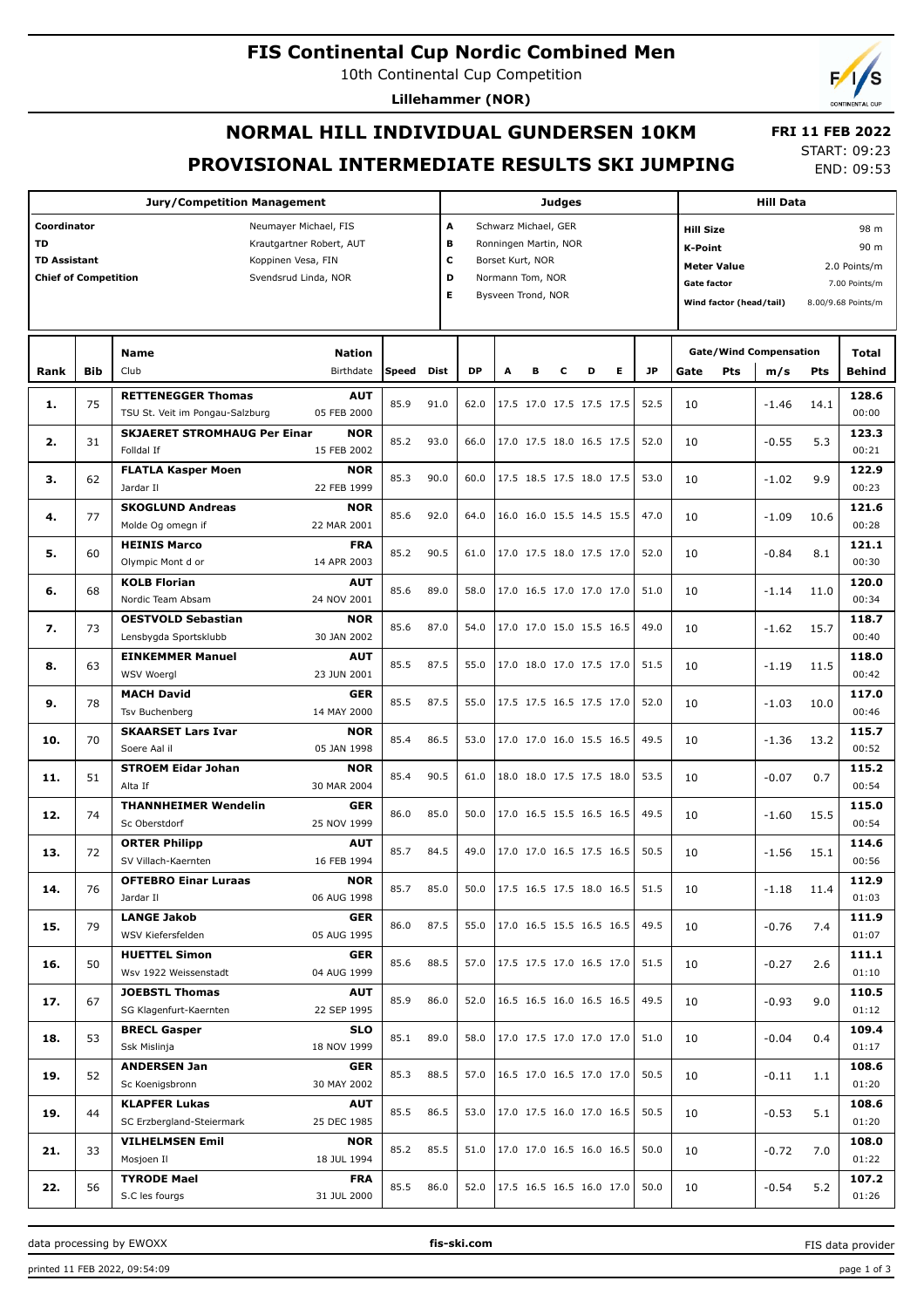# **FIS Continental Cup Nordic Combined Men**

10th Continental Cup Competition

**Lillehammer (NOR)**

# **NORMAL HILL INDIVIDUAL GUNDERSEN 10KM PROVISIONAL INTERMEDIATE RESULTS SKI JUMPING**

 **FRI 11 FEB 2022** START: 09:23 END: 09:53

| <b>Jury/Competition Management</b> |                                                                                                                                                                      |                                                              |                           |       |      |      | <b>Judges</b>                                                                                                                        |                          |   |                          |   |                                 |      |                                                                                                    | <b>Hill Data</b>              |      |                                                                     |  |  |
|------------------------------------|----------------------------------------------------------------------------------------------------------------------------------------------------------------------|--------------------------------------------------------------|---------------------------|-------|------|------|--------------------------------------------------------------------------------------------------------------------------------------|--------------------------|---|--------------------------|---|---------------------------------|------|----------------------------------------------------------------------------------------------------|-------------------------------|------|---------------------------------------------------------------------|--|--|
| TD                                 | Coordinator<br>Neumayer Michael, FIS<br>Krautgartner Robert, AUT<br><b>TD Assistant</b><br>Koppinen Vesa, FIN<br><b>Chief of Competition</b><br>Svendsrud Linda, NOR |                                                              |                           |       |      |      | A<br>Schwarz Michael, GER<br>в<br>Ronningen Martin, NOR<br>c<br>Borset Kurt, NOR<br>D<br>Normann Tom, NOR<br>E<br>Bysveen Trond, NOR |                          |   |                          |   |                                 |      | <b>Hill Size</b><br>K-Point<br><b>Meter Value</b><br><b>Gate factor</b><br>Wind factor (head/tail) |                               |      | 98 m<br>90 m<br>2.0 Points/m<br>7.00 Points/m<br>8.00/9.68 Points/m |  |  |
|                                    |                                                                                                                                                                      | <b>Name</b>                                                  | Nation                    |       |      |      |                                                                                                                                      |                          |   |                          |   |                                 |      |                                                                                                    | <b>Gate/Wind Compensation</b> |      | Total                                                               |  |  |
| Rank                               | <b>Bib</b>                                                                                                                                                           | Club                                                         | Birthdate                 | Speed | Dist | DP   | A                                                                                                                                    | в                        | c | D                        | Е | <b>JP</b>                       | Gate | Pts                                                                                                | m/s                           | Pts  | <b>Behind</b>                                                       |  |  |
| 1.                                 | 75                                                                                                                                                                   | <b>RETTENEGGER Thomas</b><br>TSU St. Veit im Pongau-Salzburg | <b>AUT</b><br>05 FEB 2000 | 85.9  | 91.0 | 62.0 |                                                                                                                                      |                          |   | 17.5 17.0 17.5 17.5 17.5 |   | 52.5                            | 10   |                                                                                                    | $-1.46$                       | 14.1 | 128.6<br>00:00                                                      |  |  |
|                                    |                                                                                                                                                                      | <b>SKJAERET STROMHAUG Per Einar</b>                          | <b>NOR</b>                |       |      |      |                                                                                                                                      |                          |   |                          |   |                                 |      |                                                                                                    |                               |      | 123.3                                                               |  |  |
| 2.                                 | 31                                                                                                                                                                   | Folldal If                                                   | 15 FEB 2002               | 85.2  | 93.0 | 66.0 |                                                                                                                                      |                          |   | 17.0 17.5 18.0 16.5 17.5 |   | 52.0                            | 10   |                                                                                                    | $-0.55$                       | 5.3  | 00:21                                                               |  |  |
|                                    | 62                                                                                                                                                                   | <b>FLATLA Kasper Moen</b>                                    | <b>NOR</b>                | 85.3  | 90.0 | 60.0 |                                                                                                                                      | 17.5 18.5 17.5 18.0 17.5 |   |                          |   | 53.0                            |      |                                                                                                    |                               |      | 122.9                                                               |  |  |
| з.                                 |                                                                                                                                                                      | Jardar II                                                    | 22 FEB 1999               |       |      |      |                                                                                                                                      |                          |   |                          |   |                                 | 10   |                                                                                                    | $-1.02$                       | 9.9  | 00:23                                                               |  |  |
| 4.                                 | 77                                                                                                                                                                   | <b>SKOGLUND Andreas</b>                                      | <b>NOR</b>                | 85.6  | 92.0 | 64.0 |                                                                                                                                      |                          |   | 16.0 16.0 15.5 14.5 15.5 |   | 47.0                            | 10   |                                                                                                    | $-1.09$                       | 10.6 | 121.6                                                               |  |  |
|                                    |                                                                                                                                                                      | Molde Og omegn if                                            | 22 MAR 2001               |       |      |      |                                                                                                                                      |                          |   |                          |   |                                 |      |                                                                                                    |                               |      | 00:28                                                               |  |  |
| 5.                                 | 60                                                                                                                                                                   | <b>HEINIS Marco</b>                                          | <b>FRA</b>                | 85.2  | 90.5 | 61.0 |                                                                                                                                      |                          |   | 17.0 17.5 18.0 17.5 17.0 |   | 52.0                            | 10   |                                                                                                    | $-0.84$                       | 8.1  | 121.1                                                               |  |  |
|                                    |                                                                                                                                                                      | Olympic Mont d or                                            | 14 APR 2003               |       |      |      |                                                                                                                                      |                          |   |                          |   |                                 |      |                                                                                                    |                               |      | 00:30                                                               |  |  |
| 6.                                 | 68                                                                                                                                                                   | <b>KOLB Florian</b><br>Nordic Team Absam                     | <b>AUT</b><br>24 NOV 2001 | 85.6  | 89.0 | 58.0 |                                                                                                                                      |                          |   | 17.0 16.5 17.0 17.0 17.0 |   | 51.0                            | 10   |                                                                                                    | $-1.14$                       | 11.0 | 120.0<br>00:34                                                      |  |  |
|                                    |                                                                                                                                                                      | <b>OESTVOLD Sebastian</b>                                    | <b>NOR</b>                |       |      |      |                                                                                                                                      |                          |   |                          |   |                                 |      |                                                                                                    |                               |      | 118.7                                                               |  |  |
| 7.                                 | 73                                                                                                                                                                   | Lensbygda Sportsklubb                                        | 30 JAN 2002               | 85.6  | 87.0 | 54.0 |                                                                                                                                      |                          |   | 17.0 17.0 15.0 15.5 16.5 |   | 49.0                            | 10   |                                                                                                    | $-1.62$                       | 15.7 | 00:40                                                               |  |  |
|                                    |                                                                                                                                                                      | <b>EINKEMMER Manuel</b>                                      | <b>AUT</b>                |       |      |      |                                                                                                                                      |                          |   |                          |   |                                 |      |                                                                                                    |                               |      | 118.0                                                               |  |  |
| 8.                                 | 63                                                                                                                                                                   | <b>WSV Woergl</b>                                            | 23 JUN 2001               | 85.5  | 87.5 | 55.0 |                                                                                                                                      |                          |   | 17.0 18.0 17.0 17.5 17.0 |   | 51.5                            | 10   |                                                                                                    | $-1.19$                       | 11.5 | 00:42                                                               |  |  |
|                                    |                                                                                                                                                                      | <b>MACH David</b>                                            | <b>GER</b>                |       |      |      |                                                                                                                                      |                          |   |                          |   |                                 |      |                                                                                                    |                               |      | 117.0                                                               |  |  |
| 9.                                 | 78                                                                                                                                                                   | Tsv Buchenberg                                               | 14 MAY 2000               | 85.5  | 87.5 | 55.0 |                                                                                                                                      |                          |   | 17.5 17.5 16.5 17.5 17.0 |   | 52.0                            | 10   |                                                                                                    | $-1.03$                       | 10.0 | 00:46                                                               |  |  |
|                                    |                                                                                                                                                                      | <b>SKAARSET Lars Ivar</b>                                    | <b>NOR</b>                |       |      |      |                                                                                                                                      |                          |   |                          |   |                                 |      |                                                                                                    |                               |      | 115.7                                                               |  |  |
| 10.                                | 70                                                                                                                                                                   | Soere Aal il                                                 | 05 JAN 1998               | 85.4  | 86.5 | 53.0 |                                                                                                                                      |                          |   | 17.0 17.0 16.0 15.5 16.5 |   | 49.5                            | 10   |                                                                                                    | $-1.36$                       | 13.2 | 00:52                                                               |  |  |
| 11.                                | 51                                                                                                                                                                   | <b>STROEM Eidar Johan</b>                                    | <b>NOR</b>                | 85.4  | 90.5 | 61.0 |                                                                                                                                      |                          |   | 18.0 18.0 17.5 17.5 18.0 |   | 53.5                            | 10   |                                                                                                    | $-0.07$                       | 0.7  | 115.2                                                               |  |  |
|                                    |                                                                                                                                                                      | Alta If                                                      | 30 MAR 2004               |       |      |      |                                                                                                                                      |                          |   |                          |   |                                 |      |                                                                                                    |                               |      | 00:54                                                               |  |  |
| 12.                                | 74                                                                                                                                                                   | <b>THANNHEIMER Wendelin</b>                                  | <b>GER</b>                | 86.0  | 85.0 | 50.0 |                                                                                                                                      |                          |   | 17.0 16.5 15.5 16.5 16.5 |   | 49.5                            | 10   |                                                                                                    | $-1.60$                       | 15.5 | 115.0                                                               |  |  |
|                                    |                                                                                                                                                                      | Sc Oberstdorf                                                | 25 NOV 1999               |       |      |      |                                                                                                                                      |                          |   |                          |   |                                 |      |                                                                                                    |                               |      | 00:54                                                               |  |  |
| 13.                                | 72                                                                                                                                                                   | <b>ORTER Philipp</b>                                         | <b>AUT</b>                | 85.7  | 84.5 | 49.0 |                                                                                                                                      |                          |   | 17.0 17.0 16.5 17.5 16.5 |   | 50.5                            | 10   |                                                                                                    | $-1.56$                       | 15.1 | 114.6                                                               |  |  |
|                                    |                                                                                                                                                                      | SV Villach-Kaernten                                          | 16 FEB 1994               |       |      |      |                                                                                                                                      |                          |   |                          |   |                                 |      |                                                                                                    |                               |      | 00:56                                                               |  |  |
| 14.                                | 76                                                                                                                                                                   | <b>OFTEBRO Einar Luraas</b><br>Jardar II                     | <b>NOR</b><br>06 AUG 1998 | 85.7  | 85.0 | 50.0 |                                                                                                                                      |                          |   |                          |   | 17.5 16.5 17.5 18.0 16.5   51.5 | 10   |                                                                                                    | $-1.18$                       | 11.4 | 112.9<br>01:03                                                      |  |  |
|                                    |                                                                                                                                                                      | <b>LANGE Jakob</b>                                           | <b>GER</b>                |       |      |      |                                                                                                                                      |                          |   |                          |   |                                 |      |                                                                                                    |                               |      | 111.9                                                               |  |  |
| 15.                                | 79                                                                                                                                                                   | WSV Kiefersfelden                                            | 05 AUG 1995               | 86.0  | 87.5 | 55.0 |                                                                                                                                      |                          |   | 17.0 16.5 15.5 16.5 16.5 |   | 49.5                            | 10   |                                                                                                    | $-0.76$                       | 7.4  | 01:07                                                               |  |  |
|                                    |                                                                                                                                                                      | <b>HUETTEL Simon</b>                                         | <b>GER</b>                |       |      |      |                                                                                                                                      |                          |   |                          |   |                                 |      |                                                                                                    |                               |      | 111.1                                                               |  |  |
| 16.                                | 50                                                                                                                                                                   | Wsv 1922 Weissenstadt                                        | 04 AUG 1999               | 85.6  | 88.5 | 57.0 |                                                                                                                                      |                          |   | 17.5 17.5 17.0 16.5 17.0 |   | 51.5                            | 10   |                                                                                                    | $-0.27$                       | 2.6  | 01:10                                                               |  |  |
|                                    |                                                                                                                                                                      | <b>JOEBSTL Thomas</b>                                        | AUT                       |       |      |      |                                                                                                                                      |                          |   |                          |   |                                 |      |                                                                                                    |                               |      | 110.5                                                               |  |  |
| 17.                                | 67                                                                                                                                                                   | SG Klagenfurt-Kaernten                                       | 22 SEP 1995               | 85.9  | 86.0 | 52.0 |                                                                                                                                      |                          |   | 16.5 16.5 16.0 16.5 16.5 |   | 49.5                            | 10   |                                                                                                    | $-0.93$                       | 9.0  | 01:12                                                               |  |  |
| 18.                                | 53                                                                                                                                                                   | <b>BRECL Gasper</b>                                          | SLO                       | 85.1  | 89.0 | 58.0 |                                                                                                                                      |                          |   | 17.0 17.5 17.0 17.0 17.0 |   | 51.0                            | 10   |                                                                                                    | $-0.04$                       |      | 109.4                                                               |  |  |
|                                    |                                                                                                                                                                      | Ssk Mislinja                                                 | 18 NOV 1999               |       |      |      |                                                                                                                                      |                          |   |                          |   |                                 |      |                                                                                                    |                               | 0.4  | 01:17                                                               |  |  |
| 19.                                | 52                                                                                                                                                                   | <b>ANDERSEN Jan</b><br>Sc Koenigsbronn                       | <b>GER</b>                | 85.3  | 88.5 | 57.0 |                                                                                                                                      |                          |   | 16.5 17.0 16.5 17.0 17.0 |   | 50.5                            | 10   |                                                                                                    | $-0.11$                       | 1.1  | 108.6                                                               |  |  |
|                                    |                                                                                                                                                                      |                                                              | 30 MAY 2002               |       |      |      |                                                                                                                                      |                          |   |                          |   |                                 |      |                                                                                                    |                               |      | 01:20                                                               |  |  |
| 19.                                | 44                                                                                                                                                                   | <b>KLAPFER Lukas</b><br>SC Erzbergland-Steiermark            | AUT<br>25 DEC 1985        | 85.5  | 86.5 | 53.0 |                                                                                                                                      |                          |   | 17.0 17.5 16.0 17.0 16.5 |   | 50.5                            | 10   |                                                                                                    | $-0.53$                       | 5.1  | 108.6<br>01:20                                                      |  |  |
|                                    |                                                                                                                                                                      | <b>VILHELMSEN Emil</b>                                       | <b>NOR</b>                |       |      |      |                                                                                                                                      |                          |   |                          |   |                                 |      |                                                                                                    |                               |      | 108.0                                                               |  |  |
| 21.                                | 33                                                                                                                                                                   | Mosjoen Il                                                   | 18 JUL 1994               | 85.2  | 85.5 | 51.0 |                                                                                                                                      |                          |   | 17.0 17.0 16.5 16.0 16.5 |   | 50.0                            | 10   |                                                                                                    | $-0.72$                       | 7.0  | 01:22                                                               |  |  |
|                                    |                                                                                                                                                                      | <b>TYRODE Mael</b>                                           | <b>FRA</b>                |       |      |      |                                                                                                                                      |                          |   |                          |   |                                 |      |                                                                                                    |                               |      | 107.2                                                               |  |  |
| 22.                                | 56                                                                                                                                                                   | S.C les fourgs                                               | 31 JUL 2000               | 85.5  | 86.0 | 52.0 |                                                                                                                                      |                          |   | 17.5 16.5 16.5 16.0 17.0 |   | 50.0                            | 10   |                                                                                                    | $-0.54$                       | 5.2  | 01:26                                                               |  |  |

FIS data provider

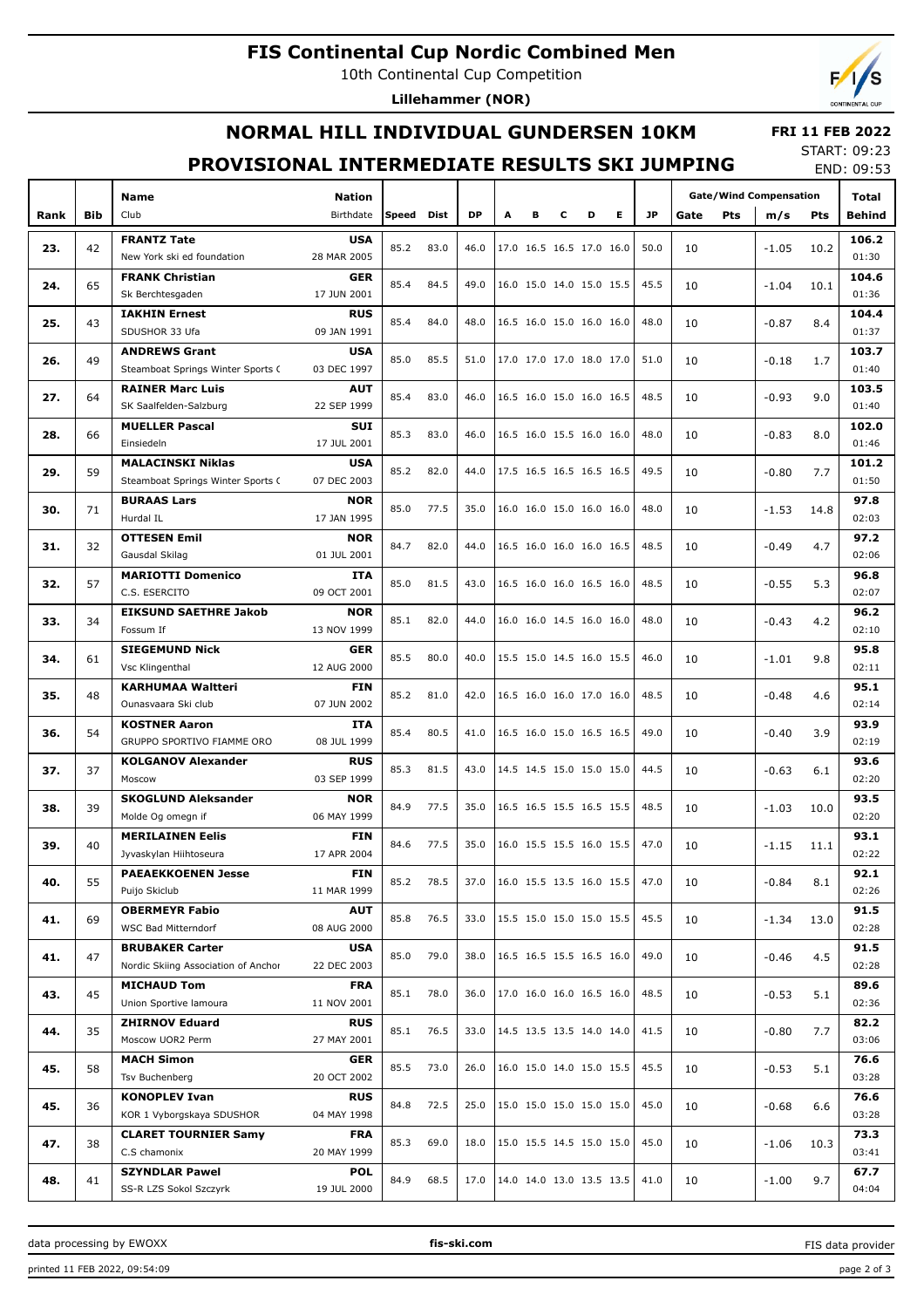# **FIS Continental Cup Nordic Combined Men**

10th Continental Cup Competition

**Lillehammer (NOR)**

## **NORMAL HILL INDIVIDUAL GUNDERSEN 10KM**

#### **FRI 11 FEB 2022**

#### **PROVISIONAL INTERMEDIATE RESULTS SKI JUMPING**

START: 09:23 END: 09:53

|      |            | <b>Name</b>                                       | <b>Nation</b>             |              |      |           |   |   |                          |                          |   |           | <b>Gate/Wind Compensation</b> |         |                                                                                                                                                                            | Total         |
|------|------------|---------------------------------------------------|---------------------------|--------------|------|-----------|---|---|--------------------------|--------------------------|---|-----------|-------------------------------|---------|----------------------------------------------------------------------------------------------------------------------------------------------------------------------------|---------------|
| Rank | <b>Bib</b> | Club                                              | Birthdate                 | <b>Speed</b> | Dist | <b>DP</b> | A | в | c                        | D                        | Е | <b>JP</b> | Gate<br><b>Pts</b>            | m/s     | Pts                                                                                                                                                                        | Behind        |
|      |            | <b>FRANTZ Tate</b>                                | <b>USA</b>                |              |      |           |   |   |                          |                          |   |           |                               |         |                                                                                                                                                                            | 106.2         |
| 23.  | 42         | New York ski ed foundation                        | 28 MAR 2005               | 85.2         | 83.0 | 46.0      |   |   |                          | 17.0 16.5 16.5 17.0 16.0 |   | 50.0      | 10                            | $-1.05$ | 10.2                                                                                                                                                                       | 01:30         |
|      |            | <b>FRANK Christian</b>                            | <b>GER</b>                |              |      |           |   |   |                          |                          |   |           |                               |         |                                                                                                                                                                            | 104.6         |
| 24.  | 65         | Sk Berchtesgaden                                  | 17 JUN 2001               | 85.4         | 84.5 | 49.0      |   |   |                          | 16.0 15.0 14.0 15.0 15.5 |   | 45.5      | 10                            | $-1.04$ | 10.1<br>8.4<br>1.7<br>9.0<br>8.0<br>7.7<br>14.8<br>4.7<br>5.3<br>4.2<br>9.8<br>4.6<br>3.9<br>6.1<br>10.0<br>11.1<br>8.1<br>13.0<br>4.5<br>5.1<br>7.7<br>5.1<br>6.6<br>10.3 | 01:36         |
|      |            | <b>IAKHIN Ernest</b>                              | <b>RUS</b>                |              |      |           |   |   |                          |                          |   |           |                               |         |                                                                                                                                                                            | 104.4         |
| 25.  | 43         | SDUSHOR 33 Ufa                                    | 09 JAN 1991               | 85.4         | 84.0 | 48.0      |   |   |                          | 16.5 16.0 15.0 16.0 16.0 |   | 48.0      | 10                            | $-0.87$ |                                                                                                                                                                            | 01:37         |
|      |            | <b>ANDREWS Grant</b>                              | <b>USA</b>                |              |      |           |   |   |                          |                          |   |           |                               |         |                                                                                                                                                                            | 103.7         |
| 26.  | 49         | Steamboat Springs Winter Sports C                 | 03 DEC 1997               | 85.0         | 85.5 | 51.0      |   |   |                          | 17.0 17.0 17.0 18.0 17.0 |   | 51.0      | 10                            | -0.18   |                                                                                                                                                                            | 01:40         |
|      |            | <b>RAINER Marc Luis</b>                           | <b>AUT</b>                |              |      |           |   |   |                          |                          |   |           |                               |         |                                                                                                                                                                            | 103.5         |
| 27.  | 64         | SK Saalfelden-Salzburg                            | 22 SEP 1999               | 85.4         | 83.0 | 46.0      |   |   |                          | 16.5 16.0 15.0 16.0 16.5 |   | 48.5      | 10                            | $-0.93$ |                                                                                                                                                                            | 01:40         |
|      |            | <b>MUELLER Pascal</b>                             | <b>SUI</b>                |              |      |           |   |   |                          |                          |   |           |                               |         |                                                                                                                                                                            | 102.0         |
| 28.  | 66         | Einsiedeln                                        | 17 JUL 2001               | 85.3         | 83.0 | 46.0      |   |   |                          | 16.5 16.0 15.5 16.0 16.0 |   | 48.0      | 10                            | $-0.83$ |                                                                                                                                                                            | 01:46         |
|      |            | <b>MALACINSKI Niklas</b>                          | <b>USA</b>                |              |      |           |   |   |                          |                          |   |           |                               |         |                                                                                                                                                                            | 101.2         |
| 29.  | 59         | Steamboat Springs Winter Sports (                 | 07 DEC 2003               | 85.2         | 82.0 | 44.0      |   |   |                          | 17.5 16.5 16.5 16.5 16.5 |   | 49.5      | 10                            | $-0.80$ |                                                                                                                                                                            | 01:50         |
|      |            | <b>BURAAS Lars</b>                                | <b>NOR</b>                |              |      |           |   |   |                          |                          |   |           |                               |         |                                                                                                                                                                            | 97.8          |
| 30.  | 71         | Hurdal IL                                         | 17 JAN 1995               | 85.0         | 77.5 | 35.0      |   |   |                          | 16.0 16.0 15.0 16.0 16.0 |   | 48.0      | 10                            | $-1.53$ |                                                                                                                                                                            | 02:03         |
|      |            | <b>OTTESEN Emil</b>                               | <b>NOR</b>                |              |      |           |   |   |                          |                          |   |           |                               |         |                                                                                                                                                                            | 97.2          |
| 31.  | 32         | Gausdal Skilag                                    | 01 JUL 2001               | 84.7         | 82.0 | 44.0      |   |   |                          | 16.5 16.0 16.0 16.0 16.5 |   | 48.5      | 10                            | $-0.49$ |                                                                                                                                                                            | 02:06         |
|      |            | <b>MARIOTTI Domenico</b>                          | ITA                       | 85.0         |      | 43.0      |   |   |                          | 16.5 16.0 16.0 16.5 16.0 |   |           |                               |         |                                                                                                                                                                            | 96.8          |
| 32.  | 57         | C.S. ESERCITO                                     | 09 OCT 2001               |              | 81.5 |           |   |   |                          |                          |   | 48.5      | 10                            | $-0.55$ |                                                                                                                                                                            | 02:07         |
| 33.  | 34         | <b>EIKSUND SAETHRE Jakob</b>                      | <b>NOR</b>                | 85.1         | 82.0 | 44.0      |   |   |                          | 16.0 16.0 14.5 16.0 16.0 |   | 48.0      | 10                            |         |                                                                                                                                                                            | 96.2          |
|      |            | Fossum If                                         | 13 NOV 1999               |              |      |           |   |   |                          |                          |   |           |                               | -0.43   |                                                                                                                                                                            | 02:10         |
| 34.  | 61         | <b>SIEGEMUND Nick</b>                             | <b>GER</b>                | 85.5         | 80.0 | 40.0      |   |   |                          | 15.5 15.0 14.5 16.0 15.5 |   | 46.0      | 10                            | $-1.01$ |                                                                                                                                                                            | 95.8          |
|      |            | Vsc Klingenthal                                   | 12 AUG 2000               |              |      |           |   |   |                          |                          |   |           |                               |         |                                                                                                                                                                            | 02:11         |
| 35.  | 48         | <b>KARHUMAA Waltteri</b>                          | <b>FIN</b>                | 85.2         | 81.0 | 42.0      |   |   |                          | 16.5 16.0 16.0 17.0 16.0 |   | 48.5      | 10                            | $-0.48$ |                                                                                                                                                                            | 95.1          |
|      |            | Ounasvaara Ski club                               | 07 JUN 2002               |              |      |           |   |   |                          |                          |   |           |                               |         |                                                                                                                                                                            | 02:14         |
| 36.  | 54         | <b>KOSTNER Aaron</b>                              | <b>ITA</b>                | 85.4         | 80.5 | 41.0      |   |   |                          | 16.5 16.0 15.0 16.5 16.5 |   | 49.0      | 10                            | $-0.40$ |                                                                                                                                                                            | 93.9          |
|      |            | GRUPPO SPORTIVO FIAMME ORO                        | 08 JUL 1999               |              |      |           |   |   |                          |                          |   |           |                               |         |                                                                                                                                                                            | 02:19         |
| 37.  | 37         | <b>KOLGANOV Alexander</b>                         | <b>RUS</b>                | 85.3         | 81.5 | 43.0      |   |   |                          | 14.5 14.5 15.0 15.0 15.0 |   | 44.5      | 10                            | $-0.63$ |                                                                                                                                                                            | 93.6          |
|      |            | Moscow                                            | 03 SEP 1999               |              |      |           |   |   |                          |                          |   |           |                               |         |                                                                                                                                                                            | 02:20         |
| 38.  | 39         | <b>SKOGLUND Aleksander</b>                        | <b>NOR</b>                | 84.9         | 77.5 | 35.0      |   |   |                          | 16.5 16.5 15.5 16.5 15.5 |   | 48.5      | 10                            | $-1.03$ |                                                                                                                                                                            | 93.5          |
|      |            | Molde Og omegn if                                 | 06 MAY 1999               |              |      |           |   |   |                          |                          |   |           |                               |         |                                                                                                                                                                            | 02:20         |
| 39.  | 40         | <b>MERILAINEN Eelis</b><br>Jyvaskylan Hiihtoseura | <b>FIN</b><br>17 APR 2004 | 84.6         | 77.5 | 35.0      |   |   |                          | 16.0 15.5 15.5 16.0 15.5 |   | 47.0      | 10                            | $-1.15$ |                                                                                                                                                                            | 93.1<br>02:22 |
|      |            | <b>PAEAEKKOENEN Jesse</b>                         | <b>FIN</b>                |              |      |           |   |   |                          |                          |   |           |                               |         |                                                                                                                                                                            | 92.1          |
| 40.  | 55         | Puijo Skiclub                                     | 11 MAR 1999               | 85.2         | 78.5 | 37.0      |   |   |                          | 16.0 15.5 13.5 16.0 15.5 |   | 47.0      | 10                            | $-0.84$ |                                                                                                                                                                            | 02:26         |
|      |            | <b>OBERMEYR Fabio</b>                             | <b>AUT</b>                |              |      |           |   |   |                          |                          |   |           |                               |         |                                                                                                                                                                            | 91.5          |
| 41.  | 69         | WSC Bad Mitterndorf                               | 08 AUG 2000               | 85.8         | 76.5 | 33.0      |   |   |                          | 15.5 15.0 15.0 15.0 15.5 |   | 45.5      | 10                            | $-1.34$ |                                                                                                                                                                            | 02:28         |
|      |            | <b>BRUBAKER Carter</b>                            | USA                       |              |      |           |   |   |                          |                          |   |           |                               |         |                                                                                                                                                                            | 91.5          |
| 41.  | 47         | Nordic Skiing Association of Anchor               | 22 DEC 2003               | 85.0         | 79.0 | 38.0      |   |   |                          | 16.5 16.5 15.5 16.5 16.0 |   | 49.0      | 10                            | -0.46   |                                                                                                                                                                            | 02:28         |
|      |            | <b>MICHAUD Tom</b>                                | <b>FRA</b>                |              |      |           |   |   |                          |                          |   |           |                               |         |                                                                                                                                                                            | 89.6          |
| 43.  | 45         | Union Sportive lamoura                            | 11 NOV 2001               | 85.1         | 78.0 | 36.0      |   |   |                          | 17.0 16.0 16.0 16.5 16.0 |   | 48.5      | 10                            | $-0.53$ |                                                                                                                                                                            | 02:36         |
|      |            | <b>ZHIRNOV Eduard</b>                             | <b>RUS</b>                |              |      |           |   |   |                          |                          |   |           |                               |         |                                                                                                                                                                            | 82.2          |
| 44.  | 35         | Moscow UOR2 Perm                                  | 27 MAY 2001               | 85.1         | 76.5 | 33.0      |   |   |                          | 14.5 13.5 13.5 14.0 14.0 |   | 41.5      | 10                            | $-0.80$ |                                                                                                                                                                            | 03:06         |
|      |            | <b>MACH Simon</b>                                 | <b>GER</b>                |              |      |           |   |   |                          |                          |   |           |                               |         |                                                                                                                                                                            | 76.6          |
| 45.  | 58         | Tsv Buchenberg                                    | 20 OCT 2002               | 85.5         | 73.0 | 26.0      |   |   |                          | 16.0 15.0 14.0 15.0 15.5 |   | 45.5      | 10                            | $-0.53$ |                                                                                                                                                                            | 03:28         |
|      |            | <b>KONOPLEV Ivan</b>                              | <b>RUS</b>                | 84.8         | 72.5 | 25.0      |   |   |                          | 15.0 15.0 15.0 15.0 15.0 |   | 45.0      |                               |         |                                                                                                                                                                            | 76.6          |
| 45.  | 36         | KOR 1 Vyborgskaya SDUSHOR                         | 04 MAY 1998               |              |      |           |   |   |                          |                          |   |           | 10                            | $-0.68$ |                                                                                                                                                                            | 03:28         |
| 47.  | 38         | <b>CLARET TOURNIER Samy</b>                       | <b>FRA</b>                | 85.3         | 69.0 | 18.0      |   |   |                          |                          |   | 45.0      | 10                            |         |                                                                                                                                                                            | 73.3          |
|      |            | C.S chamonix                                      | 20 MAY 1999               |              |      |           |   |   | 15.0 15.5 14.5 15.0 15.0 |                          |   |           |                               | $-1.06$ |                                                                                                                                                                            | 03:41         |
| 48.  | 41         | <b>SZYNDLAR Pawel</b>                             | <b>POL</b>                | 84.9         | 68.5 | 17.0      |   |   |                          | 14.0 14.0 13.0 13.5 13.5 |   | 41.0      | 10                            | $-1.00$ | 9.7                                                                                                                                                                        | 67.7          |
|      |            | SS-R LZS Sokol Szczyrk                            | 19 JUL 2000               |              |      |           |   |   |                          |                          |   |           |                               |         |                                                                                                                                                                            | 04:04         |

data processing by EWOXX **fis-ski.com**

FIS data provider